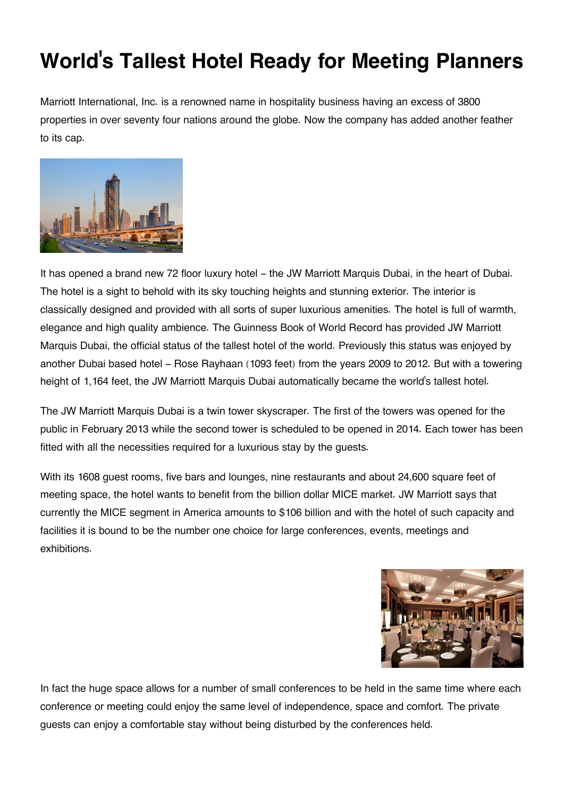## **World's Tallest Hotel Ready for Meeting Planners**

Marriott International, Inc. is a renowned name in hospitality business having an excess of 3800 properties in over seventy four nations around the globe. Now the company has added another feather to its cap.



It has opened a brand new 72 floor luxury hotel - the JW Marriott Marquis Dubai, in the heart of Dubai. The hotel is a sight to behold with its sky touching heights and stunning exterior. The interior is classically designed and provided with all sorts of super luxurious amenities. The hotel is full of warmth, elegance and high quality ambience. The Guinness Book of World Record has provided JW Marriott Marquis Dubai, the official status of the tallest hotel of the world. Previously this status was enjoyed by another Dubai based hotel - Rose Rayhaan (1093 feet) from the years 2009 to 2012. But with a towering height of 1,164 feet, the JW Marriott Marquis Dubai automatically became the world's tallest hotel.

The JW Marriott Marquis Dubai is a twin tower skyscraper. The first of the towers was opened for the public in February 2013 while the second tower is scheduled to be opened in 2014. Each tower has been fitted with all the necessities required for a luxurious stay by the guests.

With its 1608 guest rooms, five bars and lounges, nine restaurants and about 24,600 square feet of meeting space, the hotel wants to benefit from the billion dollar MICE market. JW Marriott says that currently the MICE segment in America amounts to \$106 billion and with the hotel of such capacity and facilities it is bound to be the number one choice for large conferences, events, meetings and exhibitions.



In fact the huge space allows for a number of small conferences to be held in the same time where each conference or meeting could enjoy the same level of independence, space and comfort. The private guests can enjoy a comfortable stay without being disturbed by the conferences held.